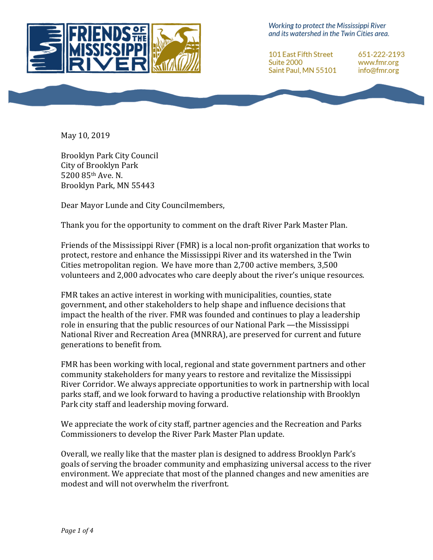

Working to protect the Mississippi River and its watershed in the Twin Cities area.

101 East Fifth Street Suite 2000 Saint Paul, MN 55101 651-222-2193 www.fmr.org info@fmr.org

May 10, 2019

Brooklyn Park City Council City of Brooklyn Park 5200 85th Ave. N. Brooklyn Park, MN 55443

Dear Mayor Lunde and City Councilmembers,

Thank you for the opportunity to comment on the draft River Park Master Plan.

Friends of the Mississippi River (FMR) is a local non-profit organization that works to protect, restore and enhance the Mississippi River and its watershed in the Twin Cities metropolitan region. We have more than  $2,700$  active members,  $3,500$ volunteers and 2,000 advocates who care deeply about the river's unique resources.

FMR takes an active interest in working with municipalities, counties, state government, and other stakeholders to help shape and influence decisions that impact the health of the river. FMR was founded and continues to play a leadership role in ensuring that the public resources of our National Park —the Mississippi National River and Recreation Area (MNRRA), are preserved for current and future generations to benefit from.

FMR has been working with local, regional and state government partners and other community stakeholders for many years to restore and revitalize the Mississippi River Corridor. We always appreciate opportunities to work in partnership with local parks staff, and we look forward to having a productive relationship with Brooklyn Park city staff and leadership moving forward.

We appreciate the work of city staff, partner agencies and the Recreation and Parks Commissioners to develop the River Park Master Plan update.

Overall, we really like that the master plan is designed to address Brooklyn Park's goals of serving the broader community and emphasizing universal access to the river environment. We appreciate that most of the planned changes and new amenities are modest and will not overwhelm the riverfront.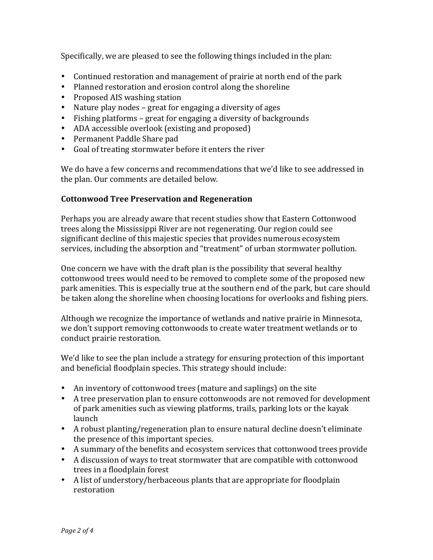Specifically, we are pleased to see the following things included in the plan:

- Continued restoration and management of prairie at north end of the park
- Planned restoration and erosion control along the shoreline
- Proposed AIS washing station
- Nature play nodes great for engaging a diversity of ages
- Fishing platforms great for engaging a diversity of backgrounds
- ADA accessible overlook (existing and proposed)
- Permanent Paddle Share pad
- Goal of treating stormwater before it enters the river

We do have a few concerns and recommendations that we'd like to see addressed in the plan. Our comments are detailed below.

# **Cottonwood Tree Preservation and Regeneration**

Perhaps you are already aware that recent studies show that Eastern Cottonwood trees along the Mississippi River are not regenerating. Our region could see significant decline of this majestic species that provides numerous ecosystem services, including the absorption and "treatment" of urban stormwater pollution.

One concern we have with the draft plan is the possibility that several healthy cottonwood trees would need to be removed to complete some of the proposed new park amenities. This is especially true at the southern end of the park, but care should be taken along the shoreline when choosing locations for overlooks and fishing piers.

Although we recognize the importance of wetlands and native prairie in Minnesota, we don't support removing cottonwoods to create water treatment wetlands or to conduct prairie restoration.

We'd like to see the plan include a strategy for ensuring protection of this important and beneficial floodplain species. This strategy should include:

- An inventory of cottonwood trees (mature and saplings) on the site
- A tree preservation plan to ensure cottonwoods are not removed for development of park amenities such as viewing platforms, trails, parking lots or the kayak launch
- A robust planting/regeneration plan to ensure natural decline doesn't eliminate the presence of this important species.
- A summary of the benefits and ecosystem services that cottonwood trees provide
- A discussion of ways to treat stormwater that are compatible with cottonwood trees in a floodplain forest
- A list of understory/herbaceous plants that are appropriate for floodplain restoration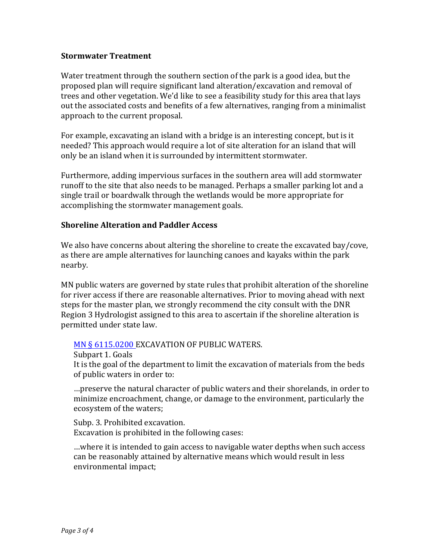### **Stormwater Treatment**

Water treatment through the southern section of the park is a good idea, but the proposed plan will require significant land alteration/excavation and removal of trees and other vegetation. We'd like to see a feasibility study for this area that lays out the associated costs and benefits of a few alternatives, ranging from a minimalist approach to the current proposal.

For example, excavating an island with a bridge is an interesting concept, but is it needed? This approach would require a lot of site alteration for an island that will only be an island when it is surrounded by intermittent stormwater.

Furthermore, adding impervious surfaces in the southern area will add stormwater runoff to the site that also needs to be managed. Perhaps a smaller parking lot and a single trail or boardwalk through the wetlands would be more appropriate for accomplishing the stormwater management goals.

### **Shoreline Alteration and Paddler Access**

We also have concerns about altering the shoreline to create the excavated bay/cove, as there are ample alternatives for launching canoes and kayaks within the park nearby.

MN public waters are governed by state rules that prohibit alteration of the shoreline for river access if there are reasonable alternatives. Prior to moving ahead with next steps for the master plan, we strongly recommend the city consult with the DNR Region 3 Hydrologist assigned to this area to ascertain if the shoreline alteration is permitted under state law.

# MN § 6115.0200 EXCAVATION OF PUBLIC WATERS.

Subpart 1. Goals

It is the goal of the department to limit the excavation of materials from the beds of public waters in order to:

...preserve the natural character of public waters and their shorelands, in order to minimize encroachment, change, or damage to the environment, particularly the ecosystem of the waters;

Subp. 3. Prohibited excavation. Excavation is prohibited in the following cases:

...where it is intended to gain access to navigable water depths when such access can be reasonably attained by alternative means which would result in less environmental impact;